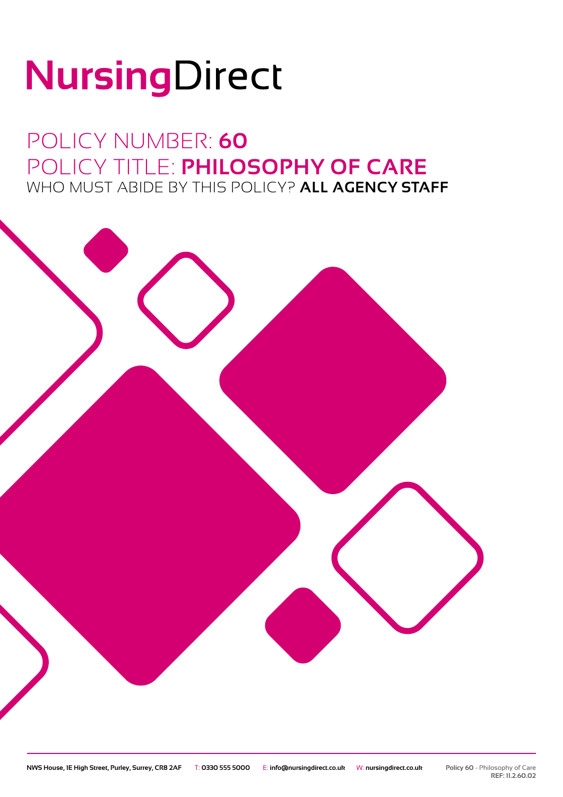# NursingDirect

### POLICY NUMBER: **60** POLICY TITLE: **PHILOSOPHY OF CARE** WHO MUST ABIDE BY THIS POLICY? **ALL AGENCY STAFF**